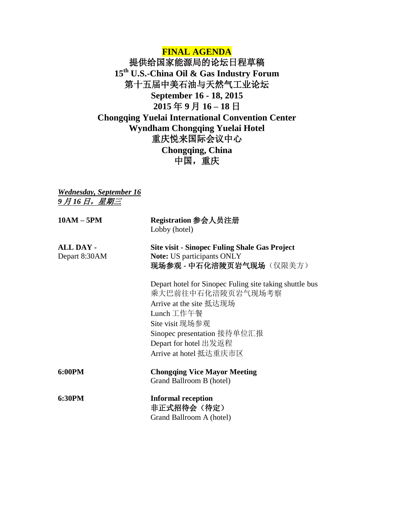## **FINAL AGENDA**

提供给国家能源局的论坛日程草稿 **15th U.S.-China Oil & Gas Industry Forum** 第十五届中美石油与天然气工业论坛 **September 16 - 18, 2015 2015** 年 **9** 月 **16 – 18** 日 **Chongqing Yuelai International Convention Center Wyndham Chongqing Yuelai Hotel** 重庆悦来国际会议中心 **Chongqing, China** 中国,重庆

*Wednesday, September 16 9* 月 *16* 日,星期三

| Registration 参会人员注册<br>Lobby (hotel)                                                                                                                                                                                       |
|----------------------------------------------------------------------------------------------------------------------------------------------------------------------------------------------------------------------------|
| <b>Site visit - Sinopec Fuling Shale Gas Project</b><br><b>Note:</b> US participants ONLY<br>现场参观 - 中石化涪陵页岩气现场(仅限美方)                                                                                                       |
| Depart hotel for Sinopec Fuling site taking shuttle bus<br>乘大巴前往中石化涪陵页岩气现场考察<br>Arrive at the site 抵达现场<br>Lunch 工作午餐<br>Site visit 现场参观<br>Sinopec presentation 接待单位汇报<br>Depart for hotel 出发返程<br>Arrive at hotel 抵达重庆市区 |
| <b>Chongqing Vice Mayor Meeting</b><br>Grand Ballroom B (hotel)                                                                                                                                                            |
| <b>Informal reception</b><br>非正式招待会(待定)<br>Grand Ballroom A (hotel)                                                                                                                                                        |
|                                                                                                                                                                                                                            |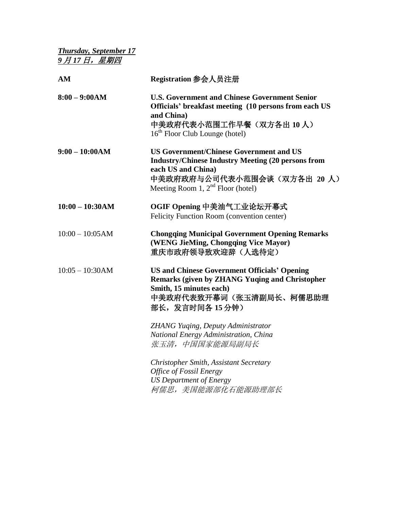*Thursday, September 17 9* 月 *17* 日,星期四

| AM                | Registration 参会人员注册                                                                                                                                                                                     |
|-------------------|---------------------------------------------------------------------------------------------------------------------------------------------------------------------------------------------------------|
| $8:00 - 9:00AM$   | <b>U.S. Government and Chinese Government Senior</b><br>Officials' breakfast meeting (10 persons from each US<br>and China)<br>中美政府代表小范围工作早餐(双方各出10人)<br>$16th$ Floor Club Lounge (hotel)               |
| $9:00 - 10:00AM$  | <b>US Government/Chinese Government and US</b><br><b>Industry/Chinese Industry Meeting (20 persons from</b><br>each US and China)<br>中美政府政府与公司代表小范围会谈(双方各出 20 人)<br>Meeting Room 1, $2nd$ Floor (hotel) |
| $10:00 - 10:30AM$ | OGIF Opening 中美油气工业论坛开幕式<br>Felicity Function Room (convention center)                                                                                                                                  |
| $10:00 - 10:05AM$ | <b>Chongqing Municipal Government Opening Remarks</b><br>(WENG JieMing, Chongqing Vice Mayor)<br>重庆市政府领导致欢迎辞(人选待定)                                                                                      |
| $10:05 - 10:30AM$ | <b>US and Chinese Government Officials' Opening</b><br><b>Remarks (given by ZHANG Yuqing and Christopher</b><br>Smith, 15 minutes each)<br>中美政府代表致开幕词(张玉清副局长、柯儒思助理<br>部长,发言时间各15分钟)                     |
|                   | <b>ZHANG Yuging, Deputy Administrator</b><br>National Energy Administration, China<br>张玉清, 中国国家能源局副局长                                                                                                   |
|                   | Christopher Smith, Assistant Secretary<br>Office of Fossil Energy<br><b>US Department of Energy</b><br>柯儒思, 美国能源部化石能源助理部长                                                                               |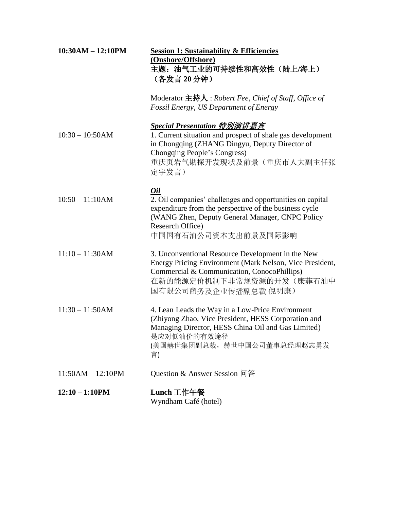| $10:30AM - 12:10PM$ | <b>Session 1: Sustainability &amp; Efficiencies</b><br>(Onshore/Offshore)<br>主题: 油气工业的可持续性和高效性(陆上/海上)<br>(各发言 20分钟)<br>Moderator 主持人: Robert Fee, Chief of Staff, Office of<br>Fossil Energy, US Department of Energy    |
|---------------------|--------------------------------------------------------------------------------------------------------------------------------------------------------------------------------------------------------------------------|
| $10:30 - 10:50AM$   | <b>Special Presentation 特别演讲嘉宾</b><br>1. Current situation and prospect of shale gas development<br>in Chongqing (ZHANG Dingyu, Deputy Director of<br>Chongqing People's Congress)<br>重庆页岩气勘探开发现状及前景(重庆市人大副主任张<br>定宇发言)  |
| $10:50 - 11:10AM$   | 0il<br>2. Oil companies' challenges and opportunities on capital<br>expenditure from the perspective of the business cycle<br>(WANG Zhen, Deputy General Manager, CNPC Policy<br>Research Office)<br>中国国有石油公司资本支出前景及国际影响 |
| $11:10 - 11:30AM$   | 3. Unconventional Resource Development in the New<br>Energy Pricing Environment (Mark Nelson, Vice President,<br>Commercial & Communication, ConocoPhillips)<br>在新的能源定价机制下非常规资源的开发(康菲石油中<br>国有限公司商务及企业传播副总裁 倪明康)         |
| $11:30 - 11:50AM$   | 4. Lean Leads the Way in a Low-Price Environment<br>(Zhiyong Zhao, Vice President, HESS Corporation and<br>Managing Director, HESS China Oil and Gas Limited)<br>是应对低油价的有效途径<br>(美国赫世集团副总裁, 赫世中国公司董事总经理赵志勇发<br>言)        |
| $11:50AM - 12:10PM$ | Question & Answer Session 问答                                                                                                                                                                                             |
| $12:10 - 1:10PM$    | Lunch 工作午餐<br>Wyndham Café (hotel)                                                                                                                                                                                       |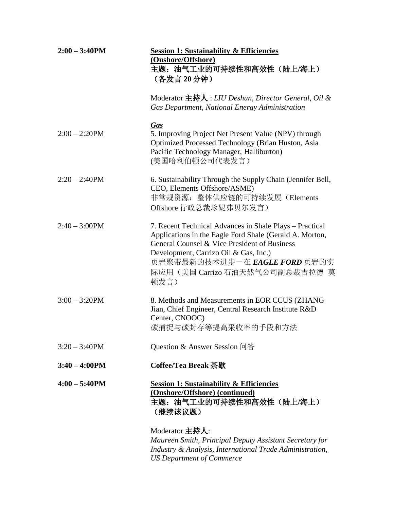| $2:00 - 3:40$ PM | <b>Session 1: Sustainability &amp; Efficiencies</b><br>(Onshore/Offshore)<br>主题: 油气工业的可持续性和高效性(陆上/海上)<br>(各发言 20分钟)                                                                                                                                                                     |
|------------------|-----------------------------------------------------------------------------------------------------------------------------------------------------------------------------------------------------------------------------------------------------------------------------------------|
|                  | Moderator 主持人: LIU Deshun, Director General, Oil &<br>Gas Department, National Energy Administration                                                                                                                                                                                    |
| $2:00 - 2:20$ PM | <b>Gas</b><br>5. Improving Project Net Present Value (NPV) through<br>Optimized Processed Technology (Brian Huston, Asia<br>Pacific Technology Manager, Halliburton)<br>(美国哈利伯顿公司代表发言)                                                                                                  |
| $2:20 - 2:40$ PM | 6. Sustainability Through the Supply Chain (Jennifer Bell,<br>CEO, Elements Offshore/ASME)<br>非常规资源: 整体供应链的可持续发展 (Elements<br>Offshore 行政总裁珍妮弗贝尔发言)                                                                                                                                     |
| $2:40 - 3:00$ PM | 7. Recent Technical Advances in Shale Plays – Practical<br>Applications in the Eagle Ford Shale (Gerald A. Morton,<br>General Counsel & Vice President of Business<br>Development, Carrizo Oil & Gas, Inc.)<br>页岩聚带最新的技术进步一在 EAGLE FORD 页岩的实<br>际应用 (美国 Carrizo 石油天然气公司副总裁吉拉德 莫<br>顿发言) |
| $3:00 - 3:20$ PM | 8. Methods and Measurements in EOR CCUS (ZHANG<br>Jian, Chief Engineer, Central Research Institute R&D<br>Center, CNOOC)<br>碳捕捉与碳封存等提高采收率的手段和方法                                                                                                                                         |
| $3:20 - 3:40$ PM | Question & Answer Session 问答                                                                                                                                                                                                                                                            |
| $3:40 - 4:00 PM$ | Coffee/Tea Break 茶歇                                                                                                                                                                                                                                                                     |
| $4:00 - 5:40$ PM | <b>Session 1: Sustainability &amp; Efficiencies</b><br>(Onshore/Offshore) (continued)<br>主题: 油气工业的可持续性和高效性 (陆上/海上)<br>(继续该议题)                                                                                                                                                           |
|                  | Moderator 主持人:<br>Maureen Smith, Principal Deputy Assistant Secretary for<br>Industry & Analysis, International Trade Administration,<br><b>US Department of Commerce</b>                                                                                                               |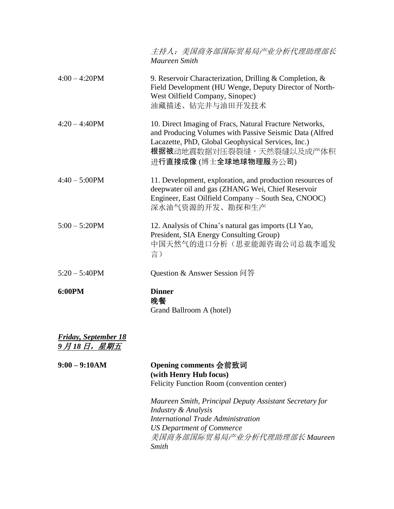|                                      | 主持人: 美国商务部国际贸易局产业分析代理助理部长<br>Maureen Smith                                                                                                                                                                                           |
|--------------------------------------|--------------------------------------------------------------------------------------------------------------------------------------------------------------------------------------------------------------------------------------|
| $4:00 - 4:20$ PM                     | 9. Reservoir Characterization, Drilling & Completion, $\&$<br>Field Development (HU Wenge, Deputy Director of North-<br>West Oilfield Company, Sinopec)<br>油藏描述、钻完井与油田开发技术                                                           |
| $4:20 - 4:40$ PM                     | 10. Direct Imaging of Fracs, Natural Fracture Networks,<br>and Producing Volumes with Passive Seismic Data (Alfred<br>Lacazette, PhD, Global Geophysical Services, Inc.)<br><b>根据被</b> 动地震数据对压裂裂缝,天然裂缝以及成产体积<br>进行直接成像(博士全球地球物理服务公司) |
| $4:40 - 5:00$ PM                     | 11. Development, exploration, and production resources of<br>deepwater oil and gas (ZHANG Wei, Chief Reservoir<br>Engineer, East Oilfield Company – South Sea, CNOOC)<br>深水油气资源的开发、勘探和生产                                             |
| $5:00 - 5:20$ PM                     | 12. Analysis of China's natural gas imports (LI Yao,<br>President, SIA Energy Consulting Group)<br>中国天然气的进口分析(思亚能源咨询公司总裁李遥发<br>言)                                                                                                    |
| $5:20 - 5:40$ PM                     | Question & Answer Session 问答                                                                                                                                                                                                         |
| 6:00PM                               | <b>Dinner</b><br>晩餐<br>Grand Ballroom A (hotel)                                                                                                                                                                                      |
| Friday, September 18<br>9 月 18 日,星期五 |                                                                                                                                                                                                                                      |

| $9:00 - 9:10AM$ | Opening comments 会前致词<br>(with Henry Hub focus)<br>Felicity Function Room (convention center) |
|-----------------|-----------------------------------------------------------------------------------------------|
|                 | Maureen Smith, Principal Deputy Assistant Secretary for<br>Industry & Analysis                |
|                 | International Trade Administration                                                            |
|                 | <b>US Department of Commerce</b>                                                              |
|                 | 美国商务部国际贸易局产业分析代理助理部长 Maureen                                                                  |
|                 | Smith                                                                                         |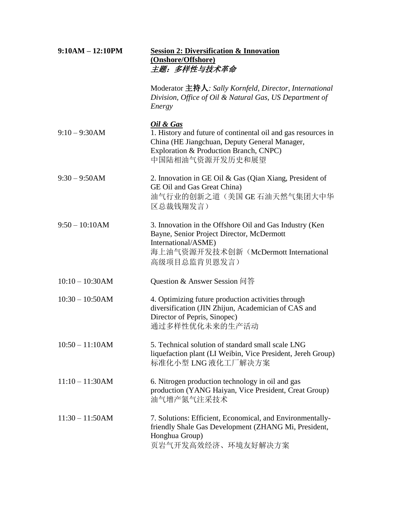| $9:10AM - 12:10PM$ | <b>Session 2: Diversification &amp; Innovation</b><br>(Onshore/Offshore)<br>主题:多样性与技术革命                                                                                                  |  |
|--------------------|------------------------------------------------------------------------------------------------------------------------------------------------------------------------------------------|--|
|                    | Moderator 主持人: Sally Kornfeld, Director, International<br>Division, Office of Oil & Natural Gas, US Department of<br>Energy                                                              |  |
| $9:10 - 9:30AM$    | Oil & Gas<br>1. History and future of continental oil and gas resources in<br>China (HE Jiangchuan, Deputy General Manager,<br>Exploration & Production Branch, CNPC)<br>中国陆相油气资源开发历史和展望 |  |
| $9:30 - 9:50AM$    | 2. Innovation in GE Oil & Gas (Qian Xiang, President of<br>GE Oil and Gas Great China)<br>油气行业的创新之道(美国 GE 石油天然气集团大中华<br>区总裁钱翔发言)                                                         |  |
| $9:50 - 10:10AM$   | 3. Innovation in the Offshore Oil and Gas Industry (Ken<br>Bayne, Senior Project Director, McDermott<br>International/ASME)<br>海上油气资源开发技术创新 (McDermott International<br>高级项目总监肯贝恩发言)     |  |
| $10:10 - 10:30AM$  | Question & Answer Session 问答                                                                                                                                                             |  |
| $10:30 - 10:50AM$  | 4. Optimizing future production activities through<br>diversification (JIN Zhijun, Academician of CAS and<br>Director of Pepris, Sinopec)<br>通过多样性优化未来的生产活动                              |  |
| $10:50 - 11:10AM$  | 5. Technical solution of standard small scale LNG<br>liquefaction plant (LI Weibin, Vice President, Jereh Group)<br>标准化小型 LNG 液化工厂解决方案                                                   |  |
| $11:10 - 11:30AM$  | 6. Nitrogen production technology in oil and gas<br>production (YANG Haiyan, Vice President, Creat Group)<br>油气增产氮气注采技术                                                                  |  |
| $11:30 - 11:50AM$  | 7. Solutions: Efficient, Economical, and Environmentally-<br>friendly Shale Gas Development (ZHANG Mi, President,<br>Honghua Group)<br>页岩气开发高效经济、环境友好解决方案                                |  |